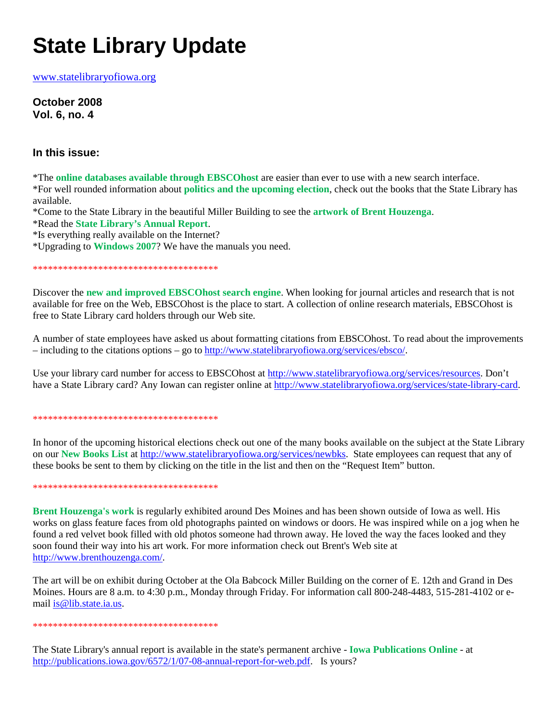# **State Library Update**

www.statelibraryofiowa.org

**October 2008 Vol. 6, no. 4**

# **In this issue:**

\*The **online databases available through EBSCOhost** are easier than ever to use with a new search interface. \*For well rounded information about **politics and the upcoming election**, check out the books that the State Library has available.

\*Come to the State Library in the beautiful Miller Building to see the **artwork of Brent Houzenga**.

\*Read the **State Library's Annual Report**.

\*Is everything really available on the Internet?

\*Upgrading to **Windows 2007**? We have the manuals you need.

\*\*\*\*\*\*\*\*\*\*\*\*\*\*\*\*\*\*\*\*\*\*\*\*\*\*\*\*\*\*\*\*\*\*\*\*\*

Discover the **new and improved EBSCOhost search engine**. When looking for journal articles and research that is not available for free on the Web, EBSCOhost is the place to start. A collection of online research materials, EBSCOhost is free to State Library card holders through our Web site.

A number of state employees have asked us about formatting citations from EBSCOhost. To read about the improvements – including to the citations options – go to http://www.statelibraryofiowa.org/services/ebsco/.

Use your library card number for access to EBSCOhost at http://www.statelibraryofiowa.org/services/resources. Don't have a State Library card? Any Iowan can register online at http://www.statelibraryofiowa.org/services/state-library-card.

## \*\*\*\*\*\*\*\*\*\*\*\*\*\*\*\*\*\*\*\*\*\*\*\*\*\*\*\*\*\*\*\*\*\*\*\*\*

In honor of the upcoming historical elections check out one of the many books available on the subject at the State Library on our **New Books List** at http://www.statelibraryofiowa.org/services/newbks. State employees can request that any of these books be sent to them by clicking on the title in the list and then on the "Request Item" button.

#### \*\*\*\*\*\*\*\*\*\*\*\*\*\*\*\*\*\*\*\*\*\*\*\*\*\*\*\*\*\*\*\*\*\*\*\*\*

**Brent Houzenga's work** is regularly exhibited around Des Moines and has been shown outside of Iowa as well. His works on glass feature faces from old photographs painted on windows or doors. He was inspired while on a jog when he found a red velvet book filled with old photos someone had thrown away. He loved the way the faces looked and they soon found their way into his art work. For more information check out Brent's Web site at http://www.brenthouzenga.com/.

The art will be on exhibit during October at the Ola Babcock Miller Building on the corner of E. 12th and Grand in Des Moines. Hours are 8 a.m. to 4:30 p.m., Monday through Friday. For information call 800-248-4483, 515-281-4102 or email is@lib.state.ia.us.

## \*\*\*\*\*\*\*\*\*\*\*\*\*\*\*\*\*\*\*\*\*\*\*\*\*\*\*\*\*\*\*\*\*\*\*\*\*

The State Library's annual report is available in the state's permanent archive - **Iowa Publications Online** - at http://publications.iowa.gov/6572/1/07-08-annual-report-for-web.pdf. Is yours?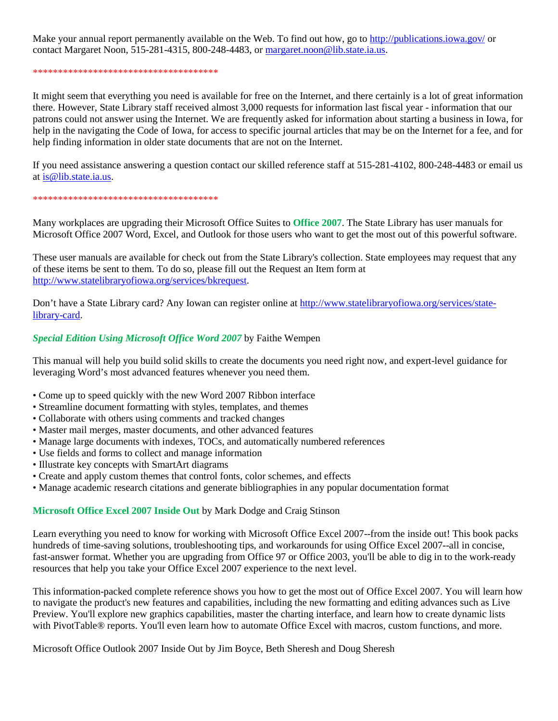Make your annual report permanently available on the Web. To find out how, go to http://publications.jowa.gov/ or contact Margaret Noon, 515-281-4315, 800-248-4483, or margaret.noon@lib.state.ia.us.

## \*\*\*\*\*\*\*\*\*\*\*\*\*\*\*\*\*\*\*\*\*\*\*\*\*\*\*\*\*\*\*\*\*\*\*\*\*

It might seem that everything you need is available for free on the Internet, and there certainly is a lot of great information there. However, State Library staff received almost 3,000 requests for information last fiscal year - information that our patrons could not answer using the Internet. We are frequently asked for information about starting a business in Iowa, for help in the navigating the Code of Iowa, for access to specific journal articles that may be on the Internet for a fee, and for help finding information in older state documents that are not on the Internet.

If you need assistance answering a question contact our skilled reference staff at 515-281-4102, 800-248-4483 or email us at is@lib.state.ia.us.

#### \*\*\*\*\*\*\*\*\*\*\*\*\*\*\*\*\*\*\*\*\*\*\*\*\*\*\*\*\*\*\*\*\*\*\*\*\*

Many workplaces are upgrading their Microsoft Office Suites to **Office 2007**. The State Library has user manuals for Microsoft Office 2007 Word, Excel, and Outlook for those users who want to get the most out of this powerful software.

These user manuals are available for check out from the State Library's collection. State employees may request that any of these items be sent to them. To do so, please fill out the Request an Item form at http://www.statelibraryofiowa.org/services/bkrequest.

Don't have a State Library card? Any Iowan can register online at http://www.statelibraryofiowa.org/services/statelibrary-card.

# *Special Edition Using Microsoft Office Word 2007* by Faithe Wempen

This manual will help you build solid skills to create the documents you need right now, and expert-level guidance for leveraging Word's most advanced features whenever you need them.

- Come up to speed quickly with the new Word 2007 Ribbon interface
- Streamline document formatting with styles, templates, and themes
- Collaborate with others using comments and tracked changes
- Master mail merges, master documents, and other advanced features
- Manage large documents with indexes, TOCs, and automatically numbered references
- Use fields and forms to collect and manage information
- Illustrate key concepts with SmartArt diagrams
- Create and apply custom themes that control fonts, color schemes, and effects
- Manage academic research citations and generate bibliographies in any popular documentation format

# **Microsoft Office Excel 2007 Inside Out** by Mark Dodge and Craig Stinson

Learn everything you need to know for working with Microsoft Office Excel 2007--from the inside out! This book packs hundreds of time-saving solutions, troubleshooting tips, and workarounds for using Office Excel 2007--all in concise, fast-answer format. Whether you are upgrading from Office 97 or Office 2003, you'll be able to dig in to the work-ready resources that help you take your Office Excel 2007 experience to the next level.

This information-packed complete reference shows you how to get the most out of Office Excel 2007. You will learn how to navigate the product's new features and capabilities, including the new formatting and editing advances such as Live Preview. You'll explore new graphics capabilities, master the charting interface, and learn how to create dynamic lists with PivotTable® reports. You'll even learn how to automate Office Excel with macros, custom functions, and more.

Microsoft Office Outlook 2007 Inside Out by Jim Boyce, Beth Sheresh and Doug Sheresh